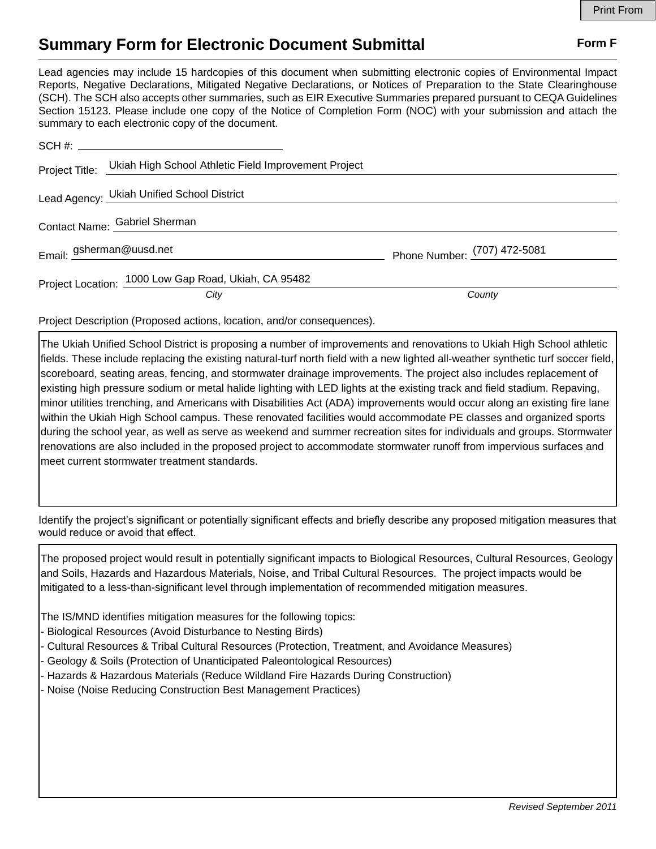## **Summary Form for Electronic Document Submittal Form F Form F**

Lead agencies may include 15 hardcopies of this document when submitting electronic copies of Environmental Impact Reports, Negative Declarations, Mitigated Negative Declarations, or Notices of Preparation to the State Clearinghouse (SCH). The SCH also accepts other summaries, such as EIR Executive Summaries prepared pursuant to CEQA Guidelines Section 15123. Please include one copy of the Notice of Completion Form (NOC) with your submission and attach the summary to each electronic copy of the document.

|                               | Project Title: Ukiah High School Athletic Field Improvement Project |                              |
|-------------------------------|---------------------------------------------------------------------|------------------------------|
|                               | Lead Agency: Ukiah Unified School District                          |                              |
| Contact Name: Gabriel Sherman |                                                                     |                              |
| Email: gsherman@uusd.net      |                                                                     | Phone Number: (707) 472-5081 |
|                               | Project Location: 1000 Low Gap Road, Ukiah, CA 95482                |                              |
|                               | City                                                                | County                       |

Project Description (Proposed actions, location, and/or consequences).

The Ukiah Unified School District is proposing a number of improvements and renovations to Ukiah High School athletic fields. These include replacing the existing natural-turf north field with a new lighted all-weather synthetic turf soccer field, scoreboard, seating areas, fencing, and stormwater drainage improvements. The project also includes replacement of existing high pressure sodium or metal halide lighting with LED lights at the existing track and field stadium. Repaving, minor utilities trenching, and Americans with Disabilities Act (ADA) improvements would occur along an existing fire lane within the Ukiah High School campus. These renovated facilities would accommodate PE classes and organized sports during the school year, as well as serve as weekend and summer recreation sites for individuals and groups. Stormwater renovations are also included in the proposed project to accommodate stormwater runoff from impervious surfaces and meet current stormwater treatment standards.

Identify the project's significant or potentially significant effects and briefly describe any proposed mitigation measures that would reduce or avoid that effect.

The proposed project would result in potentially significant impacts to Biological Resources, Cultural Resources, Geology and Soils, Hazards and Hazardous Materials, Noise, and Tribal Cultural Resources. The project impacts would be mitigated to a less-than-significant level through implementation of recommended mitigation measures.

The IS/MND identifies mitigation measures for the following topics:

- Biological Resources (Avoid Disturbance to Nesting Birds)
- Cultural Resources & Tribal Cultural Resources (Protection, Treatment, and Avoidance Measures)
- Geology & Soils (Protection of Unanticipated Paleontological Resources)
- Hazards & Hazardous Materials (Reduce Wildland Fire Hazards During Construction)
- Noise (Noise Reducing Construction Best Management Practices)